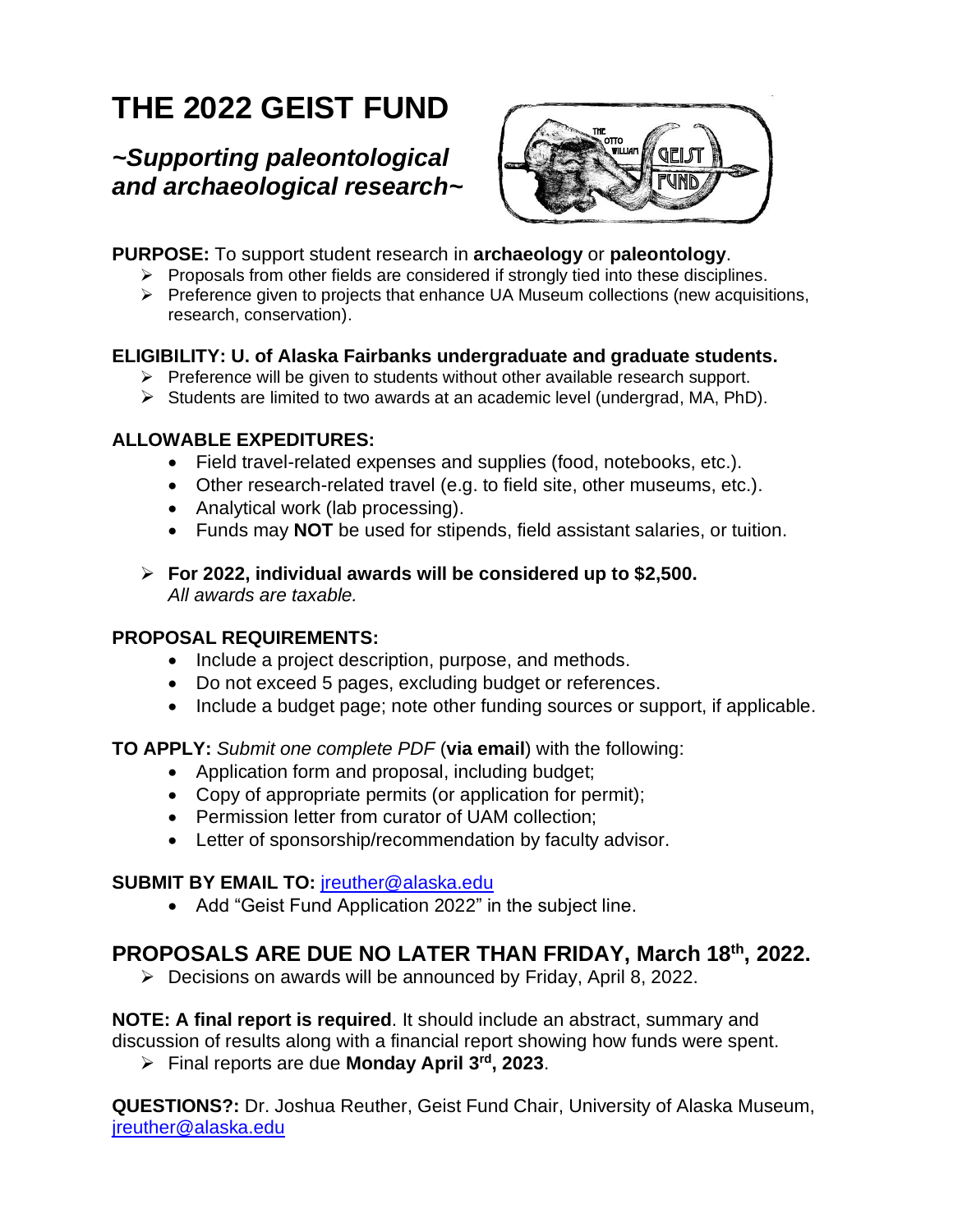# **THE 2022 GEIST FUND**

# *~Supporting paleontological and archaeological research~*



### **PURPOSE:** To support student research in **archaeology** or **paleontology**.

- $\triangleright$  Proposals from other fields are considered if strongly tied into these disciplines.
- ➢ Preference given to projects that enhance UA Museum collections (new acquisitions, research, conservation).

# **ELIGIBILITY: U. of Alaska Fairbanks undergraduate and graduate students.**

- ➢ Preference will be given to students without other available research support.
- ➢ Students are limited to two awards at an academic level (undergrad, MA, PhD).

# **ALLOWABLE EXPEDITURES:**

- Field travel-related expenses and supplies (food, notebooks, etc.).
- Other research-related travel (e.g. to field site, other museums, etc.).
- Analytical work (lab processing).
- Funds may **NOT** be used for stipends, field assistant salaries, or tuition.
- ➢ **For 2022, individual awards will be considered up to \$2,500.**  *All awards are taxable.*

# **PROPOSAL REQUIREMENTS:**

- Include a project description, purpose, and methods.
- Do not exceed 5 pages, excluding budget or references.
- Include a budget page; note other funding sources or support, if applicable.

**TO APPLY:** *Submit one complete PDF* (**via email**) with the following:

- Application form and proposal, including budget;
- Copy of appropriate permits (or application for permit);
- Permission letter from curator of UAM collection;
- Letter of sponsorship/recommendation by faculty advisor.

# **SUBMIT BY EMAIL TO:** jreuther@alaska.edu

• Add "Geist Fund Application 2022" in the subject line.

# **PROPOSALS ARE DUE NO LATER THAN FRIDAY, March 18 th, 2022.**

➢ Decisions on awards will be announced by Friday, April 8, 2022.

**NOTE: A final report is required**. It should include an abstract, summary and discussion of results along with a financial report showing how funds were spent.

➢ Final reports are due **Monday April 3 rd , 2023**.

**QUESTIONS?:** Dr. Joshua Reuther, Geist Fund Chair, University of Alaska Museum, jreuther@alaska.edu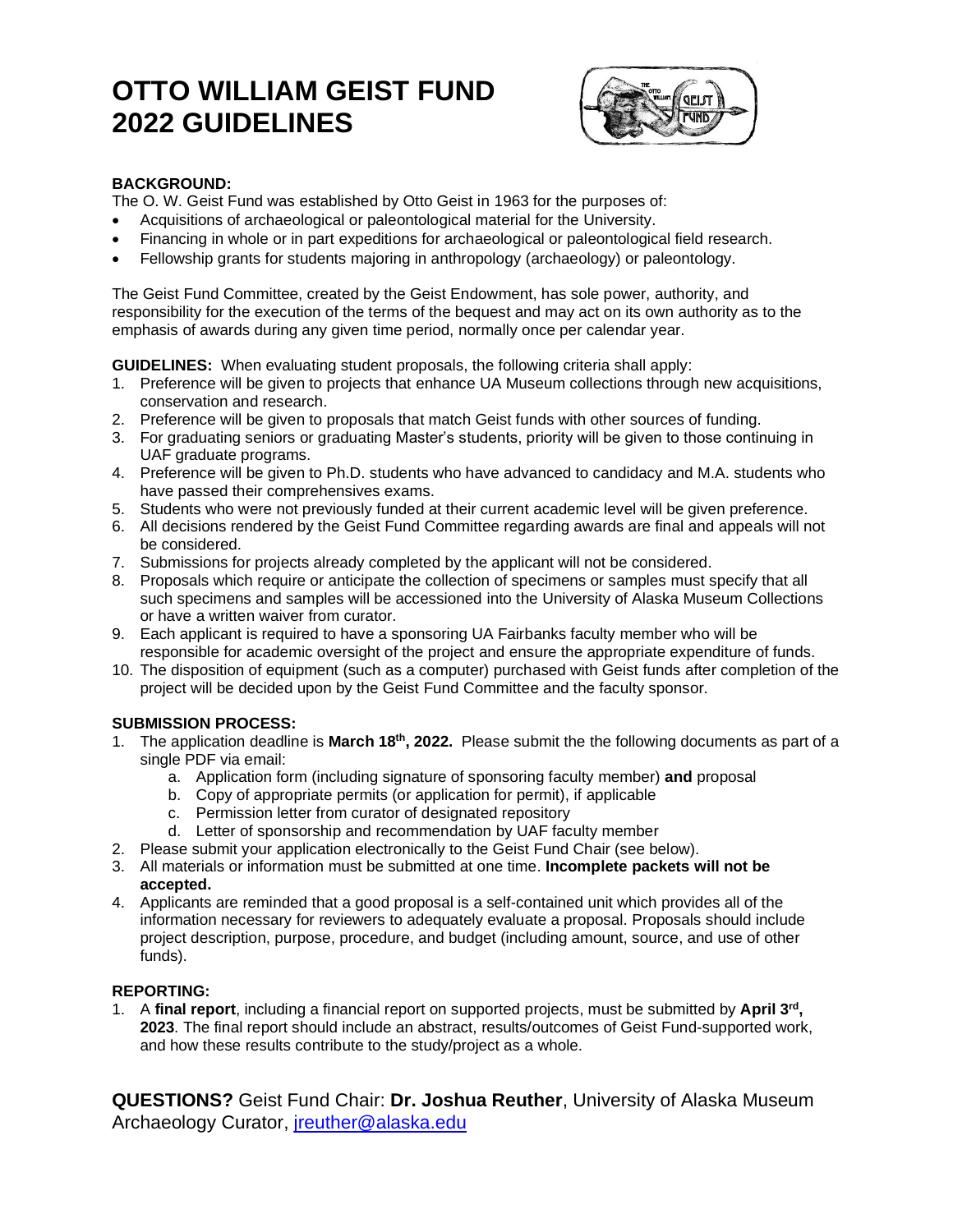# **OTTO WILLIAM GEIST FUND 2022 GUIDELINES**



#### **BACKGROUND:**

The O. W. Geist Fund was established by Otto Geist in 1963 for the purposes of:

- Acquisitions of archaeological or paleontological material for the University.
- Financing in whole or in part expeditions for archaeological or paleontological field research.
- Fellowship grants for students majoring in anthropology (archaeology) or paleontology.

The Geist Fund Committee, created by the Geist Endowment, has sole power, authority, and responsibility for the execution of the terms of the bequest and may act on its own authority as to the emphasis of awards during any given time period, normally once per calendar year.

**GUIDELINES:** When evaluating student proposals, the following criteria shall apply:

- 1. Preference will be given to projects that enhance UA Museum collections through new acquisitions, conservation and research.
- 2. Preference will be given to proposals that match Geist funds with other sources of funding.
- 3. For graduating seniors or graduating Master's students, priority will be given to those continuing in UAF graduate programs.
- 4. Preference will be given to Ph.D. students who have advanced to candidacy and M.A. students who have passed their comprehensives exams.
- 5. Students who were not previously funded at their current academic level will be given preference.
- 6. All decisions rendered by the Geist Fund Committee regarding awards are final and appeals will not be considered.
- 7. Submissions for projects already completed by the applicant will not be considered.
- 8. Proposals which require or anticipate the collection of specimens or samples must specify that all such specimens and samples will be accessioned into the University of Alaska Museum Collections or have a written waiver from curator.
- 9. Each applicant is required to have a sponsoring UA Fairbanks faculty member who will be responsible for academic oversight of the project and ensure the appropriate expenditure of funds.
- 10. The disposition of equipment (such as a computer) purchased with Geist funds after completion of the project will be decided upon by the Geist Fund Committee and the faculty sponsor.

#### **SUBMISSION PROCESS:**

- 1. The application deadline is March 18<sup>th</sup>, 2022. Please submit the the following documents as part of a single PDF via email:
	- a. Application form (including signature of sponsoring faculty member) **and** proposal
	- b. Copy of appropriate permits (or application for permit), if applicable
	- c. Permission letter from curator of designated repository
	- d. Letter of sponsorship and recommendation by UAF faculty member
- 2. Please submit your application electronically to the Geist Fund Chair (see below).
- 3. All materials or information must be submitted at one time. **Incomplete packets will not be accepted.**
- 4. Applicants are reminded that a good proposal is a self-contained unit which provides all of the information necessary for reviewers to adequately evaluate a proposal. Proposals should include project description, purpose, procedure, and budget (including amount, source, and use of other funds).

#### **REPORTING:**

1. A final report, including a financial report on supported projects, must be submitted by April 3<sup>rd</sup>, **2023**. The final report should include an abstract, results/outcomes of Geist Fund-supported work, and how these results contribute to the study/project as a whole.

**QUESTIONS?** Geist Fund Chair: **Dr. Joshua Reuther**, University of Alaska Museum Archaeology Curator, [jreuther@alaska.edu](mailto:jreuther@alaska.edu)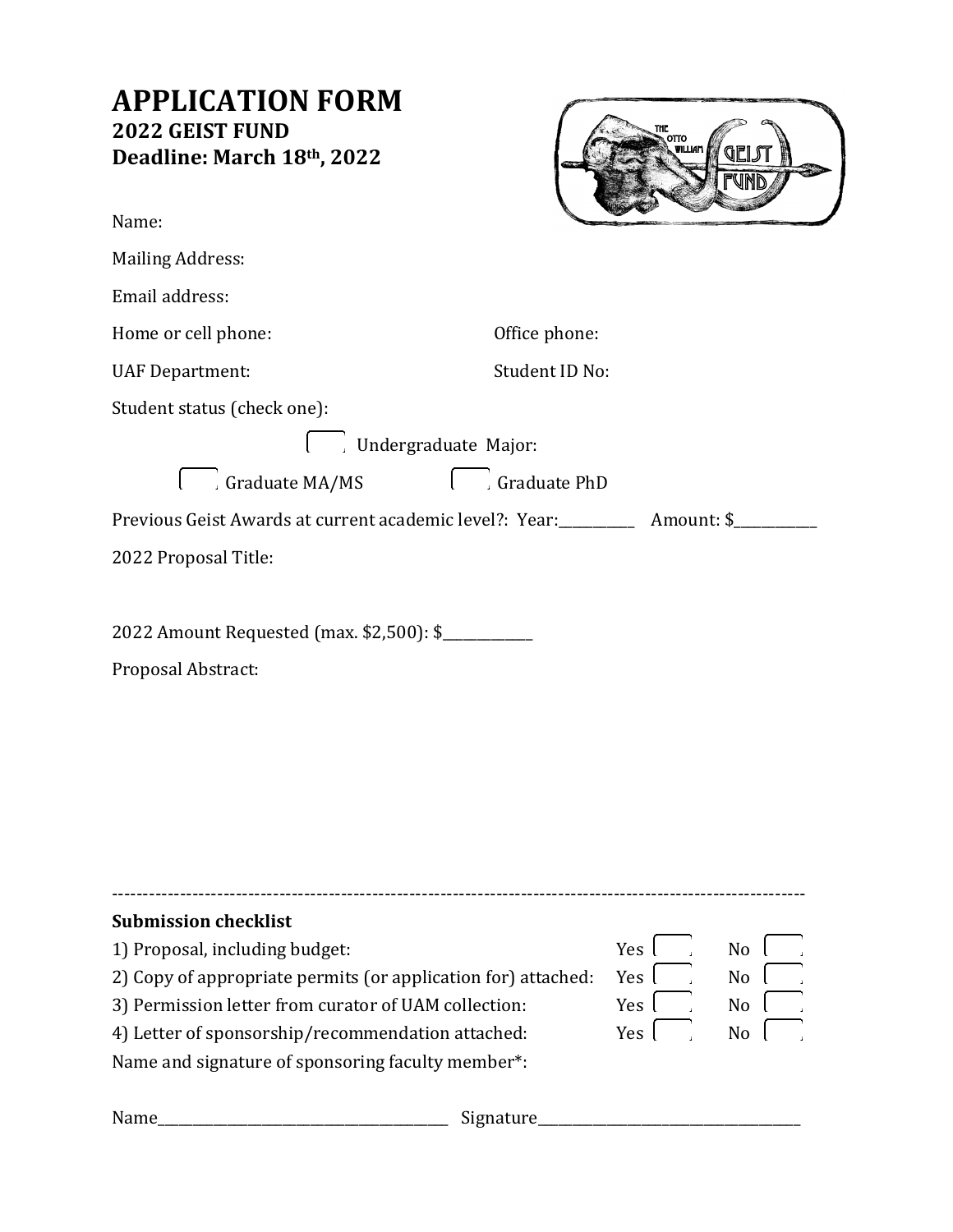# **APPLICATION FORM 2022 GEIST FUND Deadline: March 18th, 2022** Name: Mailing Address: Email address: Home or cell phone:  $Office$  phone: UAF Department: Student ID No: Student status (check one): Undergraduate Major: Graduate MA/MS Graduate PhD Previous Geist Awards at current academic level?: Year: \_\_\_\_\_\_\_\_\_\_\_ Amount: \$\_\_\_\_\_\_\_\_\_ 2022 Proposal Title: 2022 Amount Requested (max. \$2,500): \$\_\_\_\_\_\_\_\_\_\_\_\_\_ Proposal Abstract:

| <b>Submission checklist</b>                                   |       |                |
|---------------------------------------------------------------|-------|----------------|
| 1) Proposal, including budget:                                | Yes l | No             |
| 2) Copy of appropriate permits (or application for) attached: | Yes l | N <sub>o</sub> |
| 3) Permission letter from curator of UAM collection:          | Yes l | N <sub>0</sub> |
| 4) Letter of sponsorship/recommendation attached:             | Yes I | No             |
| Name and signature of sponsoring faculty member*:             |       |                |
|                                                               |       |                |

| Name | signature |
|------|-----------|
|      |           |